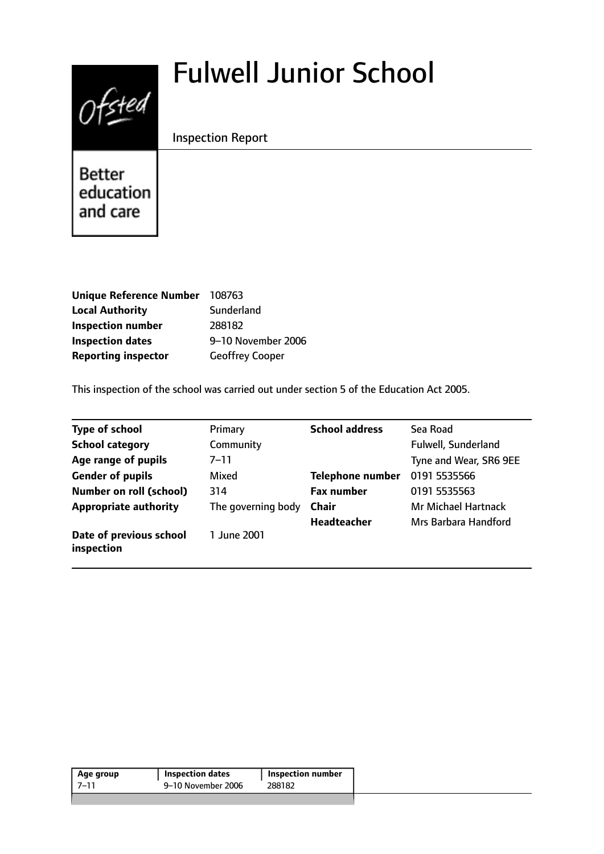# Fulwell Junior School



Inspection Report

Better education and care

| <b>Unique Reference Number</b> | 108763                 |
|--------------------------------|------------------------|
| <b>Local Authority</b>         | Sunderland             |
| <b>Inspection number</b>       | 288182                 |
| <b>Inspection dates</b>        | 9-10 November 2006     |
| <b>Reporting inspector</b>     | <b>Geoffrey Cooper</b> |

This inspection of the school was carried out under section 5 of the Education Act 2005.

| <b>Type of school</b>                 | Primary            | <b>School address</b> | Sea Road                   |
|---------------------------------------|--------------------|-----------------------|----------------------------|
| <b>School category</b>                | Community          |                       | Fulwell, Sunderland        |
| Age range of pupils                   | $7 - 11$           |                       | Tyne and Wear, SR6 9EE     |
| <b>Gender of pupils</b>               | Mixed              | Telephone number      | 0191 5535566               |
| <b>Number on roll (school)</b>        | 314                | <b>Fax number</b>     | 0191 5535563               |
| <b>Appropriate authority</b>          | The governing body | <b>Chair</b>          | <b>Mr Michael Hartnack</b> |
|                                       |                    | <b>Headteacher</b>    | Mrs Barbara Handford       |
| Date of previous school<br>inspection | 1 June 2001        |                       |                            |

| Age group | <b>Inspection dates</b> | Inspection number |
|-----------|-------------------------|-------------------|
| -7–11     | 9–10 November 2006      | 288182            |
|           |                         |                   |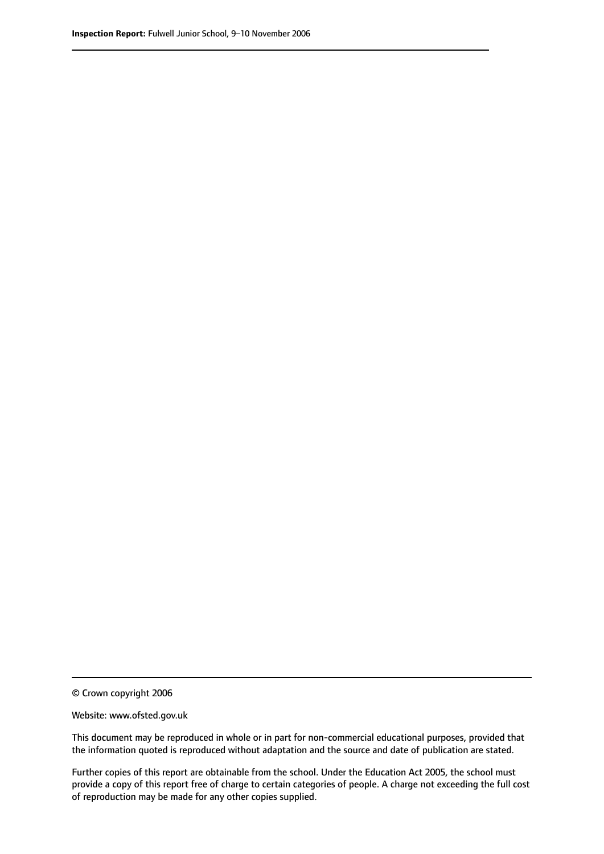© Crown copyright 2006

Website: www.ofsted.gov.uk

This document may be reproduced in whole or in part for non-commercial educational purposes, provided that the information quoted is reproduced without adaptation and the source and date of publication are stated.

Further copies of this report are obtainable from the school. Under the Education Act 2005, the school must provide a copy of this report free of charge to certain categories of people. A charge not exceeding the full cost of reproduction may be made for any other copies supplied.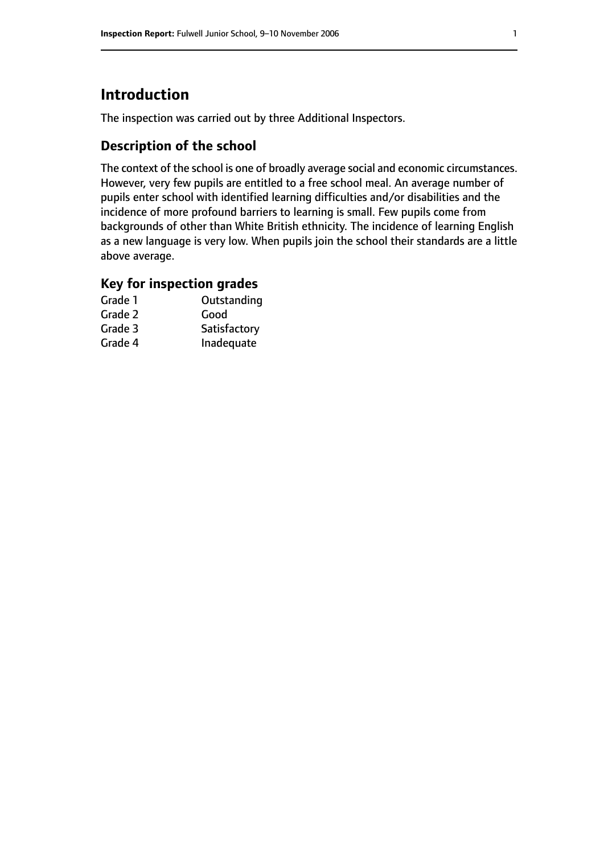# **Introduction**

The inspection was carried out by three Additional Inspectors.

## **Description of the school**

The context of the school is one of broadly average social and economic circumstances. However, very few pupils are entitled to a free school meal. An average number of pupils enter school with identified learning difficulties and/or disabilities and the incidence of more profound barriers to learning is small. Few pupils come from backgrounds of other than White British ethnicity. The incidence of learning English as a new language is very low. When pupils join the school their standards are a little above average.

## **Key for inspection grades**

| Grade 1 | Outstanding  |
|---------|--------------|
| Grade 2 | Good         |
| Grade 3 | Satisfactory |
| Grade 4 | Inadequate   |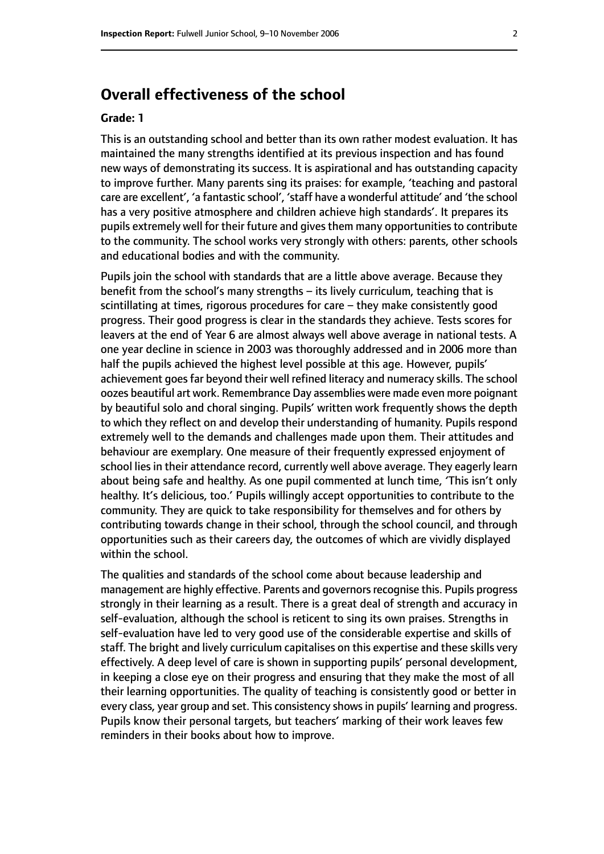## **Overall effectiveness of the school**

#### **Grade: 1**

This is an outstanding school and better than its own rather modest evaluation. It has maintained the many strengths identified at its previous inspection and has found new ways of demonstrating its success. It is aspirational and has outstanding capacity to improve further. Many parents sing its praises: for example, 'teaching and pastoral care are excellent', 'a fantastic school', 'staff have a wonderful attitude' and 'the school has a very positive atmosphere and children achieve high standards'. It prepares its pupils extremely well for their future and gives them many opportunities to contribute to the community. The school works very strongly with others: parents, other schools and educational bodies and with the community.

Pupils join the school with standards that are a little above average. Because they benefit from the school's many strengths  $-$  its lively curriculum, teaching that is scintillating at times, rigorous procedures for care  $-$  they make consistently good progress. Their good progress is clear in the standards they achieve. Tests scores for leavers at the end of Year 6 are almost always well above average in national tests. A one year decline in science in 2003 was thoroughly addressed and in 2006 more than half the pupils achieved the highest level possible at this age. However, pupils' achievement goes far beyond their well refined literacy and numeracy skills. The school oozes beautiful art work. Remembrance Day assemblies were made even more poignant by beautiful solo and choral singing. Pupils' written work frequently shows the depth to which they reflect on and develop their understanding of humanity. Pupils respond extremely well to the demands and challenges made upon them. Their attitudes and behaviour are exemplary. One measure of their frequently expressed enjoyment of school lies in their attendance record, currently well above average. They eagerly learn about being safe and healthy. As one pupil commented at lunch time, 'This isn't only healthy. It's delicious, too.' Pupils willingly accept opportunities to contribute to the community. They are quick to take responsibility for themselves and for others by contributing towards change in their school, through the school council, and through opportunities such as their careers day, the outcomes of which are vividly displayed within the school.

The qualities and standards of the school come about because leadership and management are highly effective. Parents and governors recognise this. Pupils progress strongly in their learning as a result. There is a great deal of strength and accuracy in self-evaluation, although the school is reticent to sing its own praises. Strengths in self-evaluation have led to very good use of the considerable expertise and skills of staff. The bright and lively curriculum capitalises on this expertise and these skills very effectively. A deep level of care is shown in supporting pupils' personal development, in keeping a close eye on their progress and ensuring that they make the most of all their learning opportunities. The quality of teaching is consistently good or better in every class, year group and set. This consistency shows in pupils' learning and progress. Pupils know their personal targets, but teachers' marking of their work leaves few reminders in their books about how to improve.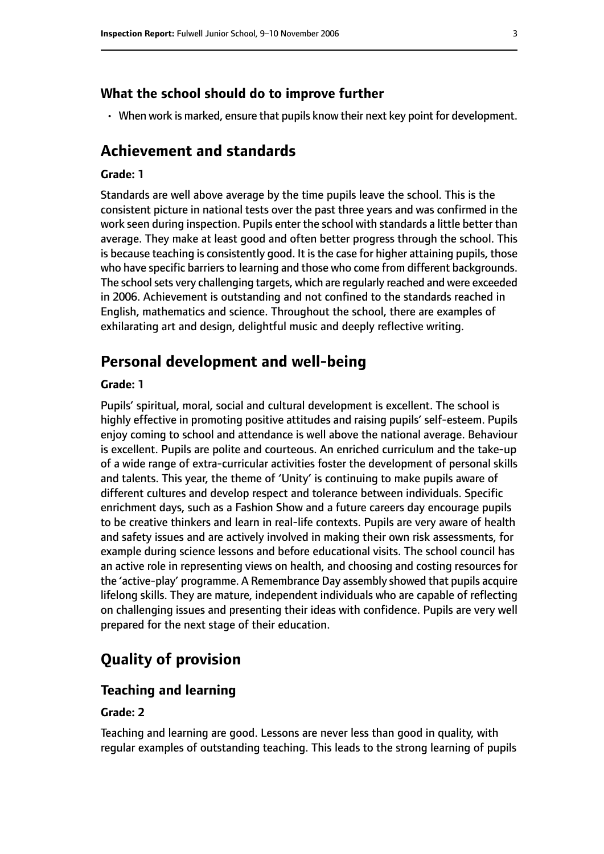#### **What the school should do to improve further**

• When work is marked, ensure that pupils know their next key point for development.

## **Achievement and standards**

#### **Grade: 1**

Standards are well above average by the time pupils leave the school. This is the consistent picture in national tests over the past three years and was confirmed in the work seen during inspection. Pupils enter the school with standards a little better than average. They make at least good and often better progress through the school. This is because teaching is consistently good. It is the case for higher attaining pupils, those who have specific barriers to learning and those who come from different backgrounds. The school sets very challenging targets, which are regularly reached and were exceeded in 2006. Achievement is outstanding and not confined to the standards reached in English, mathematics and science. Throughout the school, there are examples of exhilarating art and design, delightful music and deeply reflective writing.

## **Personal development and well-being**

#### **Grade: 1**

Pupils' spiritual, moral, social and cultural development is excellent. The school is highly effective in promoting positive attitudes and raising pupils' self-esteem. Pupils enjoy coming to school and attendance is well above the national average. Behaviour is excellent. Pupils are polite and courteous. An enriched curriculum and the take-up of a wide range of extra-curricular activities foster the development of personal skills and talents. This year, the theme of 'Unity' is continuing to make pupils aware of different cultures and develop respect and tolerance between individuals. Specific enrichment days, such as a Fashion Show and a future careers day encourage pupils to be creative thinkers and learn in real-life contexts. Pupils are very aware of health and safety issues and are actively involved in making their own risk assessments, for example during science lessons and before educational visits. The school council has an active role in representing views on health, and choosing and costing resources for the 'active-play' programme. A Remembrance Day assembly showed that pupils acquire lifelong skills. They are mature, independent individuals who are capable of reflecting on challenging issues and presenting their ideas with confidence. Pupils are very well prepared for the next stage of their education.

## **Quality of provision**

#### **Teaching and learning**

#### **Grade: 2**

Teaching and learning are good. Lessons are never less than good in quality, with regular examples of outstanding teaching. This leads to the strong learning of pupils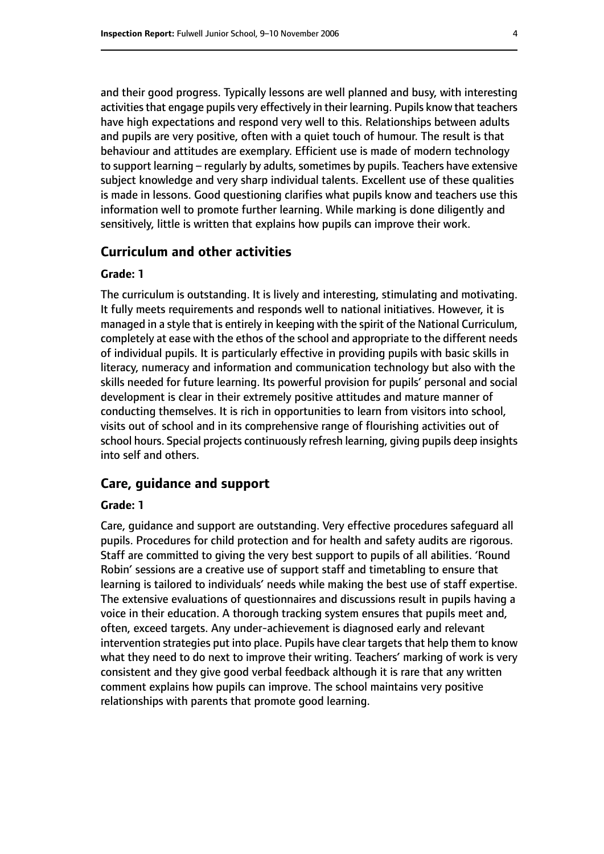and their good progress. Typically lessons are well planned and busy, with interesting activities that engage pupils very effectively in their learning. Pupils know that teachers have high expectations and respond very well to this. Relationships between adults and pupils are very positive, often with a quiet touch of humour. The result is that behaviour and attitudes are exemplary. Efficient use is made of modern technology to support learning  $-$  regularly by adults, sometimes by pupils. Teachers have extensive subject knowledge and very sharp individual talents. Excellent use of these qualities is made in lessons. Good questioning clarifies what pupils know and teachers use this information well to promote further learning. While marking is done diligently and sensitively, little is written that explains how pupils can improve their work.

#### **Curriculum and other activities**

#### **Grade: 1**

The curriculum is outstanding. It is lively and interesting, stimulating and motivating. It fully meets requirements and responds well to national initiatives. However, it is managed in a style that is entirely in keeping with the spirit of the National Curriculum, completely at ease with the ethos of the school and appropriate to the different needs of individual pupils. It is particularly effective in providing pupils with basic skills in literacy, numeracy and information and communication technology but also with the skills needed for future learning. Its powerful provision for pupils' personal and social development is clear in their extremely positive attitudes and mature manner of conducting themselves. It is rich in opportunities to learn from visitors into school, visits out of school and in its comprehensive range of flourishing activities out of school hours. Special projects continuously refresh learning, giving pupils deep insights into self and others.

#### **Care, guidance and support**

#### **Grade: 1**

Care, guidance and support are outstanding. Very effective procedures safeguard all pupils. Procedures for child protection and for health and safety audits are rigorous. Staff are committed to giving the very best support to pupils of all abilities. 'Round Robin' sessions are a creative use of support staff and timetabling to ensure that learning is tailored to individuals' needs while making the best use of staff expertise. The extensive evaluations of questionnaires and discussions result in pupils having a voice in their education. A thorough tracking system ensures that pupils meet and, often, exceed targets. Any under-achievement is diagnosed early and relevant intervention strategies put into place. Pupils have clear targets that help them to know what they need to do next to improve their writing. Teachers' marking of work is very consistent and they give good verbal feedback although it is rare that any written comment explains how pupils can improve. The school maintains very positive relationships with parents that promote good learning.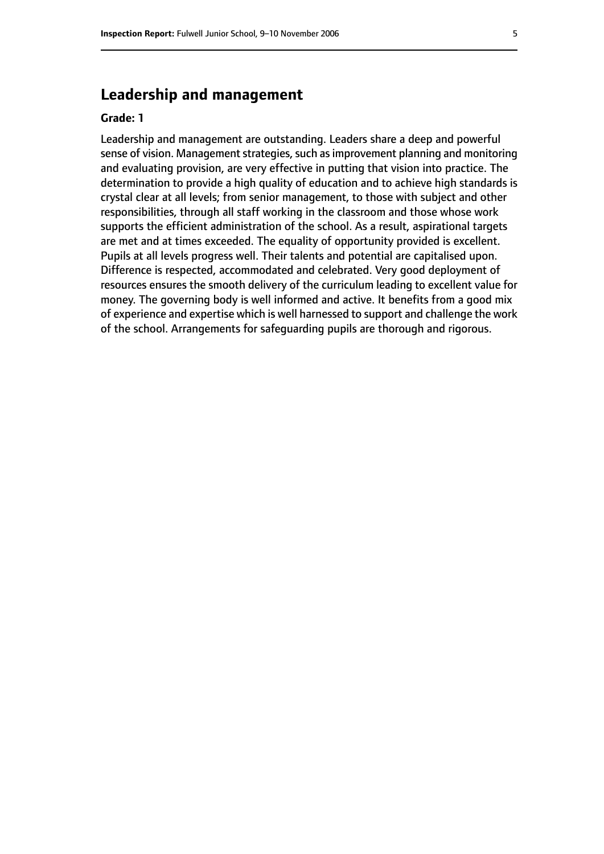## **Leadership and management**

#### **Grade: 1**

Leadership and management are outstanding. Leaders share a deep and powerful sense of vision. Management strategies, such as improvement planning and monitoring and evaluating provision, are very effective in putting that vision into practice. The determination to provide a high quality of education and to achieve high standards is crystal clear at all levels; from senior management, to those with subject and other responsibilities, through all staff working in the classroom and those whose work supports the efficient administration of the school. As a result, aspirational targets are met and at times exceeded. The equality of opportunity provided is excellent. Pupils at all levels progress well. Their talents and potential are capitalised upon. Difference is respected, accommodated and celebrated. Very good deployment of resources ensures the smooth delivery of the curriculum leading to excellent value for money. The governing body is well informed and active. It benefits from a good mix of experience and expertise which is well harnessed to support and challenge the work of the school. Arrangements for safeguarding pupils are thorough and rigorous.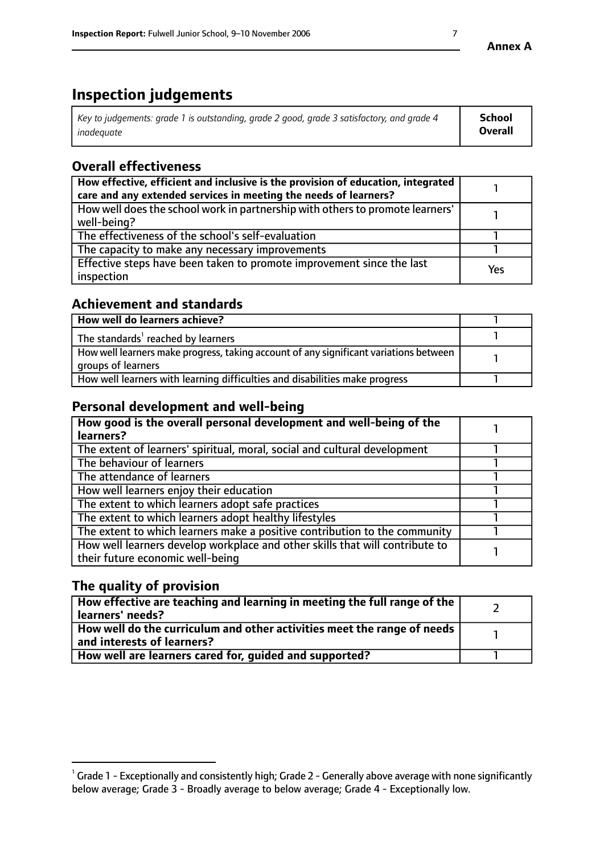# **Inspection judgements**

| Key to judgements: grade 1 is outstanding, grade 2 good, grade 3 satisfactory, and grade 4 | <b>School</b>  |
|--------------------------------------------------------------------------------------------|----------------|
| inadeauate                                                                                 | <b>Overall</b> |

## **Overall effectiveness**

| How effective, efficient and inclusive is the provision of education, integrated<br>care and any extended services in meeting the needs of learners? |            |
|------------------------------------------------------------------------------------------------------------------------------------------------------|------------|
| How well does the school work in partnership with others to promote learners'<br>well-being?                                                         |            |
| The effectiveness of the school's self-evaluation                                                                                                    |            |
| The capacity to make any necessary improvements                                                                                                      |            |
| Effective steps have been taken to promote improvement since the last<br>inspection                                                                  | <b>Yes</b> |

## **Achievement and standards**

| How well do learners achieve?                                                                               |  |
|-------------------------------------------------------------------------------------------------------------|--|
| The standards <sup>1</sup> reached by learners                                                              |  |
| How well learners make progress, taking account of any significant variations between<br>groups of learners |  |
| How well learners with learning difficulties and disabilities make progress                                 |  |

## **Personal development and well-being**

| How good is the overall personal development and well-being of the<br>learners?                                  |  |
|------------------------------------------------------------------------------------------------------------------|--|
| The extent of learners' spiritual, moral, social and cultural development                                        |  |
| The behaviour of learners                                                                                        |  |
| The attendance of learners                                                                                       |  |
| How well learners enjoy their education                                                                          |  |
| The extent to which learners adopt safe practices                                                                |  |
| The extent to which learners adopt healthy lifestyles                                                            |  |
| The extent to which learners make a positive contribution to the community                                       |  |
| How well learners develop workplace and other skills that will contribute to<br>their future economic well-being |  |

## **The quality of provision**

| $\mid$ How effective are teaching and learning in meeting the full range of the $\mid$<br>learners' needs? |  |
|------------------------------------------------------------------------------------------------------------|--|
| How well do the curriculum and other activities meet the range of needs<br>and interests of learners?      |  |
| How well are learners cared for, guided and supported?                                                     |  |

 $^1$  Grade 1 - Exceptionally and consistently high; Grade 2 - Generally above average with none significantly below average; Grade 3 - Broadly average to below average; Grade 4 - Exceptionally low.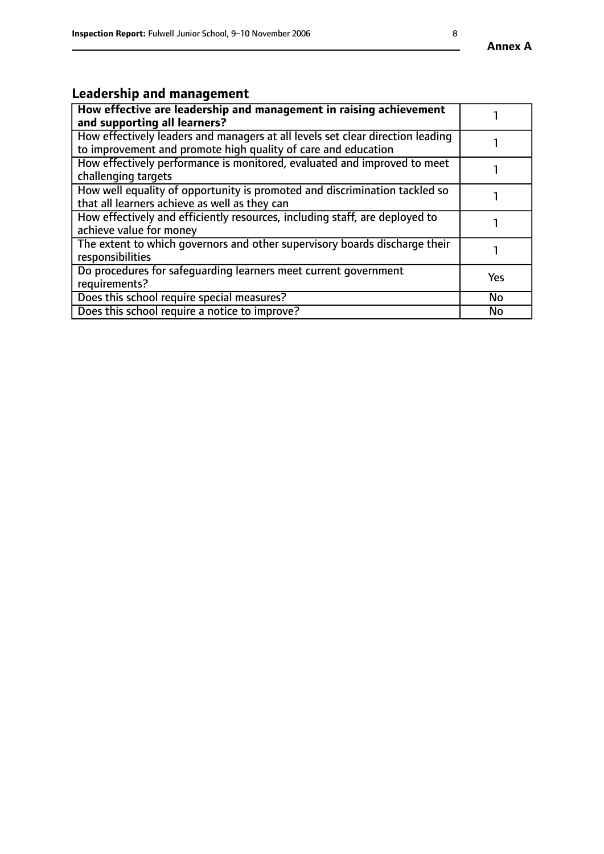# **Leadership and management**

| How effective are leadership and management in raising achievement<br>and supporting all learners?                                              |           |
|-------------------------------------------------------------------------------------------------------------------------------------------------|-----------|
| How effectively leaders and managers at all levels set clear direction leading<br>to improvement and promote high quality of care and education |           |
| How effectively performance is monitored, evaluated and improved to meet<br>challenging targets                                                 |           |
| How well equality of opportunity is promoted and discrimination tackled so<br>that all learners achieve as well as they can                     |           |
| How effectively and efficiently resources, including staff, are deployed to<br>achieve value for money                                          |           |
| The extent to which governors and other supervisory boards discharge their<br>responsibilities                                                  |           |
| Do procedures for safequarding learners meet current government<br>requirements?                                                                | Yes       |
| Does this school require special measures?                                                                                                      | <b>No</b> |
| Does this school require a notice to improve?                                                                                                   | <b>No</b> |